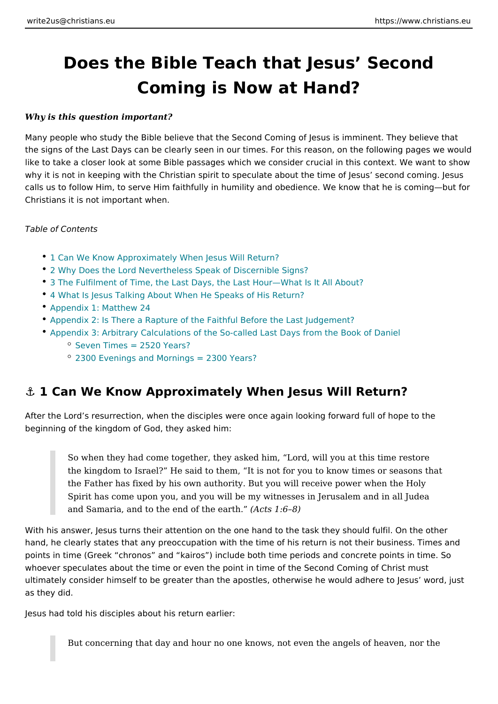# Does the Bible Teach that Jesus Sec Coming is Now at Hand?

Why is this question important?

Many people who study the Bible believe that the Second Coming of Jesus is imn the signs of the Last Days can be clearly seen in our times. For this reason, on like to take a closer look at some Bible passages which we consider crucial in th why it is not in keeping with the Christian spirit to speculate about the time of J calls us to follow Him, to serve Him faithfully in humility and obedience. We kno Christians it is not important when.

Table of Contents

- 1 Can We Know Approximately When Jesus Will Return?
- [2 Why Does the Lord Nevertheless Speak of](#page-1-0) Discernible Signs?
- 3 The Fulfilment of Time, the Last Days, the Last Hour What Is It All About?
- [4 What Is Jesus Talking About When He Sp](#page-5-0)eaks of His Return?
- [Appendix 1: Matt](#page-6-0)hew 24
- [Appendix 2: Is There a Rapture of the Faithful Befo](#page-8-0)re the Last Judgement?
- Appendix 3: Arbitrary Calculations of the So-called Last Days from the Book  $°$  [Seven Times = 2520](#page-12-0) Years?
	- [2300 Evenings and Mornings =](#page-13-0) 2300 Years?

### &" 1 Can We Know Approximately When Jesus Will Return?

After the Lord s resurrection, when the disciples were once again looking forwar beginning of the kingdom of God, they asked him:

So when they had come together, they asked him, Lord, will you at this the kingdom to Israel? He said to them, It is not for you to know times the Father has fixed by his own authority. But you will receive power wh Spirit has come upon you, and you will be my witnesses in Jerusalem ar and Samaria, and to the end of  $A$  the search  $B$ )

With his answer, Jesus turns their attention on the one hand to the task they sho hand, he clearly states that any preoccupation with the time of his return is not points in time (Greek chronos and kairos) include both time periods and conc whoever speculates about the time or even the point in time of the Second Coming ultimately consider himself to be greater than the apostles, otherwise he would a as they did.

Jesus had told his disciples about his return earlier:

But concerning that day and hour no one knows, not even the angels of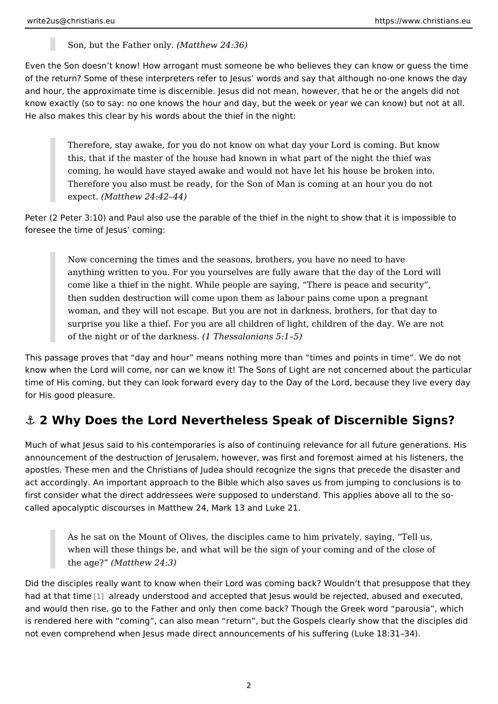Son, but the Fathe(rMoarthew  $24:36$ )

<span id="page-1-0"></span>Even the Son doesn t know! How arrogant must someone be who believes they ca of the return? Some of these interpreters refer to Jesus words and say that alth and hour, the approximate time is discernible. Jesus did not mean, however, tha know exactly (so to say: no one knows the hour and day, but the week or year we He also makes this clear by his words about the thief in the night:

Therefore, stay awake, for you do not know on what day your Lord is co this, that if the master of the house had known in what part of the night coming, he would have stayed awake and would not have let his house b Therefore you also must be ready, for the Son of Man is coming at an h  $expec(Matthew 24:42 44)$ 

Peter (2 Peter 3:10) and Paul also use the parable of the thief in the night to sh foresee the time of Jesus coming:

Now concerning the times and the seasons, brothers, you have no need anything written to you. For you yourselves are fully aware that the day come like a thief in the night. While people are saying, There is peace then sudden destruction will come upon them as labour pains come upor woman, and they will not escape. But you are not in darkness, brothers, surprise you like a thief. For you are all children of light, children of th of the night or of the  $d$ (alrkTrheesss. alonians  $5:1\;5$ )

This passage proves that day and hour means nothing more than times and point know when the Lord will come, nor can we know it! The Sons of Light are not cor time of His coming, but they can look forward every day to the Day of the Lord, for His good pleasure.

### $8$  2 Why Does the Lord Nevertheless Speak of Discernibl

Much of what Jesus said to his contemporaries is also of continuing relevance for announcement of the destruction of Jerusalem, however, was first and foremost a apostles. These men and the Christians of Judea should recognize the signs that act accordingly. An important approach to the Bible which also saves us from jur first consider what the direct addressees were supposed to understand. This app called apocalyptic discourses in Matthew 24, Mark 13 and Luke 21.

As he sat on the Mount of Olives, the disciples came to him privately, s when will these things be, and what will be the sign of your coming and the  $age$ ? Matthew  $24:3$ )

Did the disciples really want to know when their Lord was coming back? Wouldn had at that [tim](#page-15-0)e Iready understood and accepted that Jesus would be rejected, ab and would then rise, go to the Father and only then come back? Though the Gree is rendered here with coming, can also mean return, but the Gospels clearly show that the disciples disciples not even comprehend when Jesus made direct announcements of his suffering (La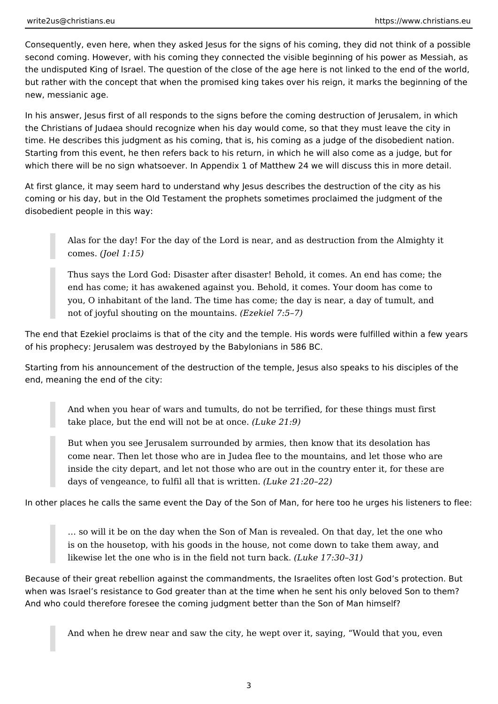Consequently, even here, when they asked Jesus for the signs of his coming, they did not think of a possible second coming. However, with his coming they connected the visible beginning of his power as Messiah, as the undisputed King of Israel. The question of the close of the age here is not linked to the end of the world, but rather with the concept that when the promised king takes over his reign, it marks the beginning of the new, messianic age.

In his answer, Jesus first of all responds to the signs before the coming destruction of Jerusalem, in which the Christians of Judaea should recognize when his day would come, so that they must leave the city in time. He describes this judgment as his coming, that is, his coming as a judge of the disobedient nation. Starting from this event, he then refers back to his return, in which he will also come as a judge, but for which there will be no sign whatsoever. In Appendix 1 of Matthew 24 we will discuss this in more detail.

At first glance, it may seem hard to understand why Jesus describes the destruction of the city as his coming or his day, but in the Old Testament the prophets sometimes proclaimed the judgment of the disobedient people in this way:

Alas for the day! For the day of the Lord is near, and as destruction from the Almighty it comes. *(Joel 1:15)*

Thus says the Lord God: Disaster after disaster! Behold, it comes. An end has come; the end has come; it has awakened against you. Behold, it comes. Your doom has come to you, O inhabitant of the land. The time has come; the day is near, a day of tumult, and not of joyful shouting on the mountains. *(Ezekiel 7:5–7)*

The end that Ezekiel proclaims is that of the city and the temple. His words were fulfilled within a few years of his prophecy: Jerusalem was destroyed by the Babylonians in 586 BC.

Starting from his announcement of the destruction of the temple, Jesus also speaks to his disciples of the end, meaning the end of the city:

And when you hear of wars and tumults, do not be terrified, for these things must first take place, but the end will not be at once. *(Luke 21:9)*

But when you see Jerusalem surrounded by armies, then know that its desolation has come near. Then let those who are in Judea flee to the mountains, and let those who are inside the city depart, and let not those who are out in the country enter it, for these are days of vengeance, to fulfil all that is written. *(Luke 21:20–22)*

In other places he calls the same event the Day of the Son of Man, for here too he urges his listeners to flee:

… so will it be on the day when the Son of Man is revealed. On that day, let the one who is on the housetop, with his goods in the house, not come down to take them away, and likewise let the one who is in the field not turn back. *(Luke 17:30–31)*

Because of their great rebellion against the commandments, the Israelites often lost God's protection. But when was Israel's resistance to God greater than at the time when he sent his only beloved Son to them? And who could therefore foresee the coming judgment better than the Son of Man himself?

And when he drew near and saw the city, he wept over it, saying, "Would that you, even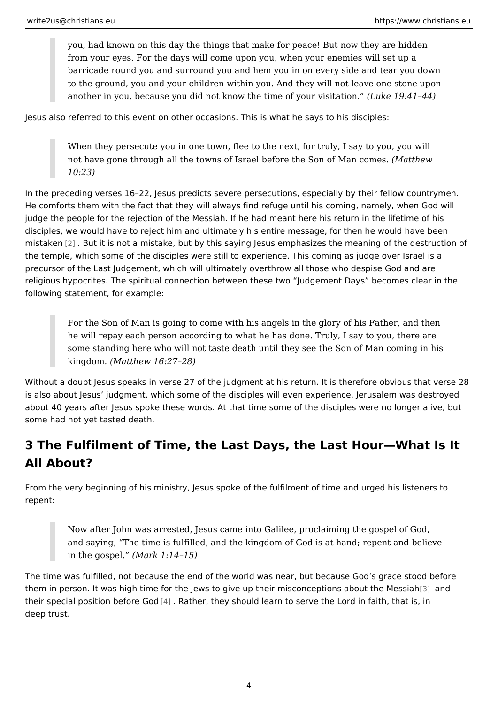you, had known on this day the things that make for peace! But now the from your eyes. For the days will come upon you, when your enemies wi barricade round you and surround you and hem you in on every side and to the ground, you and your children within you. And they will not leave another in you, because you did not know the time (bulk  $\infty$  our  $\mathfrak{g}$  ,  $\mathcal{A}$  is it  $\mathfrak{g}$  and  $\mathfrak{g}$  .

Jesus also referred to this event on other occasions. This is what he says to his

When they persecute you in one town, flee to the next, for truly, I say t not have gone through all the towns of Israel before the Statheow Man con 10:23)

In the preceding verses 16 22, Jesus predicts severe persecutions, especially by He comforts them with the fact that they will always find refuge until his coming judge the people for the rejection of the Messiah. If he had meant here his retur disciples, we would have to reject him and ultimately his entire message, for the mistake $n$  . But it is not a mistake, but by this saying Jesus emphasizes the mean the temple, which some of the disciples were still to experience. This coming as precursor of the Last Judgement, which will ultimately overthrow all those who d religious hypocrites. The spiritual connection between these two Judgement Day following statement, for example:

For the Son of Man is going to come with his angels in the glory of his he will repay each person according to what he has done. Truly, I say to some standing here who will not taste death until they see the Son of M kingdom $(M$ atthew 16:27 28)

Without a doubt Jesus speaks in verse 27 of the judgment at his return. It is the is also about Jesus judgment, which some of the disciples will even experience. about 40 years after Jesus spoke these words. At that time some of the disciples some had not yet tasted death.

# 3 The Fulfilment of Time, the Last Days, the Last Hour V All About?

From the very beginning of his ministry, Jesus spoke of the fulfilment of time an repent:

Now after John was arrested, Jesus came into Galilee, proclaiming the and saying, The time is fulfilled, and the kingdom of God is at hand; re in the gospellark  $1:14$  15)

The time was fulfilled, not because the end of the world was near, but because ( them in person. It was high time for the Jews to give up their misc[onc](#page-15-0)eptdons ab their special position b@for Rea Ghoedr, they should learn to serve the Lord in faith, t deep trust.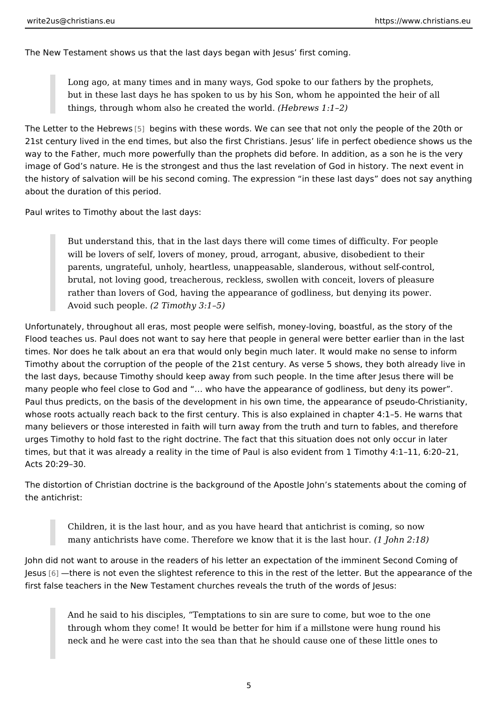The New Testament shows us that the last days began with Jesus first coming.

Long ago, at many times and in many ways, God spoke to our fathers by but in these last days he has spoken to us by his Son, whom he appoint things, through whom also he creat  $é$  de the rews r1d1 2)

The Letter to the H<sub>[6</sub>]b beewgisns with these words. We can see that not only the peop 21st century lived in the end times, but also the first Christians. Jesus life in p way to the Father, much more powerfully than the prophets did before. In addition image of God s nature. He is the strongest and thus the last revelation of God in the history of salvation will be his second coming. The expression in these last about the duration of this period.

Paul writes to Timothy about the last days:

But understand this, that in the last days there will come times of diffic will be lovers of self, lovers of money, proud, arrogant, abusive, disobe parents, ungrateful, unholy, heartless, unappeasable, slanderous, witho brutal, not loving good, treacherous, reckless, swollen with conceit, lov rather than lovers of God, having the appearance of godliness, but deny Avoid such pe $(2)$  Teimothy 3:1 5)

Unfortunately, throughout all eras, most people were selfish, money-loving, boas Flood teaches us. Paul does not want to say here that people in general were be times. Nor does he talk about an era that would only begin much later. It would Timothy about the corruption of the people of the 21st century. As verse 5 show: the last days, because Timothy should keep away from such people. In the time a many people who feel close to God and & who have the appearance of godliness Paul thus predicts, on the basis of the development in his own time, the appeara whose roots actually reach back to the first century. This is also explained in ch many believers or those interested in faith will turn away from the truth and turr urges Timothy to hold fast to the right doctrine. The fact that this situation does times, but that it was already a reality in the time of Paul is also evident from 1 Acts 20:29 30.

The distortion of Christian doctrine is the background of the Apostle John s stat the antichrist:

Children, it is the last hour, and as you have heard that antichrist is co many antichrists have come. Therefore we know that it Joshnh 2: 18 at hour.

John did not want to arouse in the readers of his letter an expectation of the im Jesuß there is not even the slightest reference to this in the rest of the letter. first false teachers in the New Testament churches reveals the truth of the word

And he said to his disciples, Temptations to sin are sure to come, but through whom they come! It would be better for him if a millstone were neck and he were cast into the sea than that he should cause one of the

5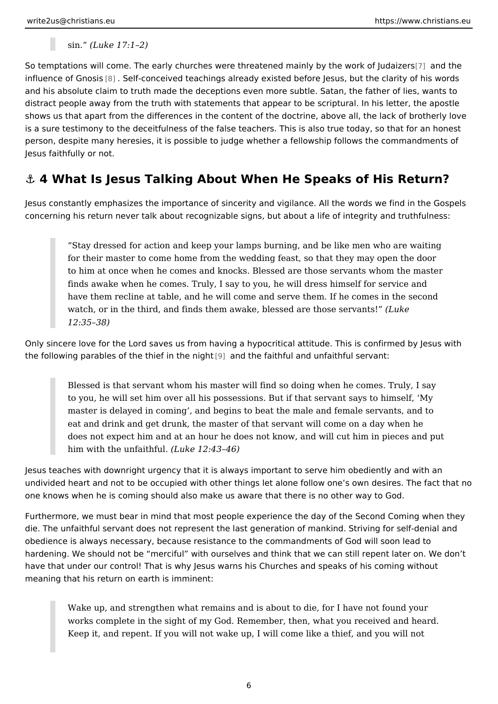sin. (Luke 17:1 2)

<span id="page-5-0"></span>So temptations will come. The early churches were threatened main ty boydtheewor influence of GMasSelf-conceived teachings already existed before Jesus, but the and his absolute claim to truth made the deceptions even more subtle. Satan, th distract people away from the truth with statements that appear to be scriptural. shows us that apart from the differences in the content of the doctrine, above al is a sure testimony to the deceitfulness of the false teachers. This is also true t person, despite many heresies, it is possible to judge whether a fellowship follo Jesus faithfully or not.

### & 4 What Is Jesus Talking About When He Speaks of His

Jesus constantly emphasizes the importance of sincerity and vigilance. All the w concerning his return never talk about recognizable signs, but about a life of int

Stay dressed for action and keep your lamps burning, and be like men for their master to come home from the wedding feast, so that they may to him at once when he comes and knocks. Blessed are those servants v finds awake when he comes. Truly, I say to you, he will dress himself for have them recline at table, and he will come and serve them. If he come watch, or in the third, and finds them awake, blessed (buckethose servant 12:35 38)

Only sincere love for the Lord saves us from having a hypocritical attitude. This the following parables of the thie of imanthe height that ind unfaithful servant:

Blessed is that servant whom his master will find so doing when he com to you, he will set him over all his possessions. But if that servant says master is delayed in coming, and begins to beat the male and female s eat and drink and get drunk, the master of that servant will come on a d does not expect him and at an hour he does not know, and will cut him in him with the unfa $($ thufku $\cdot$  12:43 46)

Jesus teaches with downright urgency that it is always important to serve him ob undivided heart and not to be occupied with other things let alone follow one s o one knows when he is coming should also make us aware that there is no other w

Furthermore, we must bear in mind that most people experience the day of the S die. The unfaithful servant does not represent the last generation of mankind. S obedience is always necessary, because resistance to the commandments of God hardening. We should not be merciful with ourselves and think that we can still have that under our control! That is why Jesus warns his Churches and speaks o meaning that his return on earth is imminent:

Wake up, and strengthen what remains and is about to die, for I have no works complete in the sight of my God. Remember, then, what you recei Keep it, and repent. If you will not wake up, I will come like a thief, an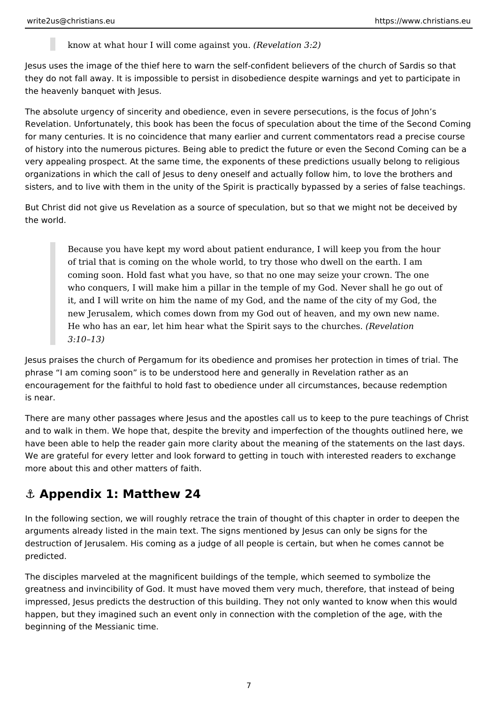know at what hour I will come against you. *(Revelation 3:2)*

<span id="page-6-0"></span>Jesus uses the image of the thief here to warn the self-confident believers of the church of Sardis so that they do not fall away. It is impossible to persist in disobedience despite warnings and yet to participate in the heavenly banquet with Jesus.

The absolute urgency of sincerity and obedience, even in severe persecutions, is the focus of John's Revelation. Unfortunately, this book has been the focus of speculation about the time of the Second Coming for many centuries. It is no coincidence that many earlier and current commentators read a precise course of history into the numerous pictures. Being able to predict the future or even the Second Coming can be a very appealing prospect. At the same time, the exponents of these predictions usually belong to religious organizations in which the call of Jesus to deny oneself and actually follow him, to love the brothers and sisters, and to live with them in the unity of the Spirit is practically bypassed by a series of false teachings.

But Christ did not give us Revelation as a source of speculation, but so that we might not be deceived by the world.

Because you have kept my word about patient endurance, I will keep you from the hour of trial that is coming on the whole world, to try those who dwell on the earth. I am coming soon. Hold fast what you have, so that no one may seize your crown. The one who conquers, I will make him a pillar in the temple of my God. Never shall he go out of it, and I will write on him the name of my God, and the name of the city of my God, the new Jerusalem, which comes down from my God out of heaven, and my own new name. He who has an ear, let him hear what the Spirit says to the churches. *(Revelation 3:10–13)*

Jesus praises the church of Pergamum for its obedience and promises her protection in times of trial. The phrase "I am coming soon" is to be understood here and generally in Revelation rather as an encouragement for the faithful to hold fast to obedience under all circumstances, because redemption is near.

There are many other passages where Jesus and the apostles call us to keep to the pure teachings of Christ and to walk in them. We hope that, despite the brevity and imperfection of the thoughts outlined here, we have been able to help the reader gain more clarity about the meaning of the statements on the last days. We are grateful for every letter and look forward to getting in touch with interested readers to exchange more about this and other matters of faith.

# **⚓ Appendix 1: Matthew 24**

In the following section, we will roughly retrace the train of thought of this chapter in order to deepen the arguments already listed in the main text. The signs mentioned by Jesus can only be signs for the destruction of Jerusalem. His coming as a judge of all people is certain, but when he comes cannot be predicted.

The disciples marveled at the magnificent buildings of the temple, which seemed to symbolize the greatness and invincibility of God. It must have moved them very much, therefore, that instead of being impressed, Jesus predicts the destruction of this building. They not only wanted to know when this would happen, but they imagined such an event only in connection with the completion of the age, with the beginning of the Messianic time.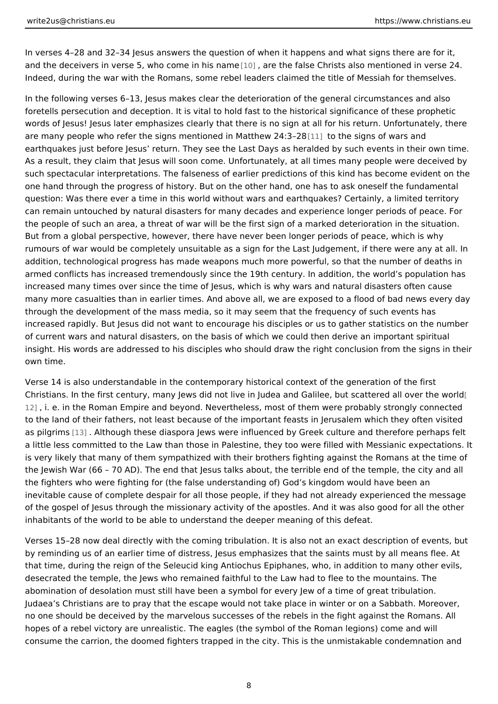In verses 4 28 and 32 34 Jesus answers the question of when it happens and what and the deceivers in verse 5, who c[ome](#page-15-0)d, iname is the amed se Christs also mentioned in Indeed, during the war with the Romans, some rebel leaders claimed the title of

In the following verses 6 13, Jesus makes clear the deterioration of the general foretells persecution and deception. It is vital to hold fast to the historical sign words of Jesus! Jesus later emphasizes clearly that there is no sign at all for hi are many people who refer the signs mentioned in  $\mathbb I$  M ad the ew s 2 g n  $\mathbb 3$   $\mathbb 3$  wars and earthquakes just before Jesus return. They see the Last Days as heralded by su As a result, they claim that Jesus will soon come. Unfortunately, at all times ma such spectacular interpretations. The falseness of earlier predictions of this kin one hand through the progress of history. But on the other hand, one has to ask question: Was there ever a time in this world without wars and earthquakes? Cer can remain untouched by natural disasters for many decades and experience long the people of such an area, a threat of war will be the first sign of a marked det But from a global perspective, however, there have never been longer periods of rumours of war would be completely unsuitable as a sign for the Last Judgement addition, technological progress has made weapons much more powerful, so that armed conflicts has increased tremendously since the 19th century. In addition, increased many times over since the time of Jesus, which is why wars and natura many more casualties than in earlier times. And above all, we are exposed to a f through the development of the mass media, so it may seem that the frequency o increased rapidly. But Jesus did not want to encourage his disciples or us to gat of current wars and natural disasters, on the basis of which we could then derive insight. His words are addressed to his disciples who should draw the right conc own time.

Verse 14 is also understandable in the contemporary historical context of the ge Christians. In the first century, many Jews did not live in Judea and Galile . but 12, i. e. in the Roman Empire and beyond. Nevertheless, most of them were prob to the land of their fathers, not least because of the important feasts in Jerusal as pilg[rims](#page-15-0). Although these diaspora Jews were influenced by Greek culture and a little less committed to the Law than those in Palestine, they too were filled w is very likely that many of them sympathized with their brothers fighting against the Jewish War (66 70 AD). The end that Jesus talks about, the terrible end of the fighters who were fighting for (the false understanding of) God s kingdom wo inevitable cause of complete despair for all those people, if they had not alread of the gospel of Jesus through the missionary activity of the apostles. And it wa inhabitants of the world to be able to understand the deeper meaning of this def

Verses 15 28 now deal directly with the coming tribulation. It is also not an exad by reminding us of an earlier time of distress, Jesus emphasizes that the saints that time, during the reign of the Seleucid king Antiochus Epiphanes, who, in ad desecrated the temple, the Jews who remained faithful to the Law had to flee to abomination of desolation must still have been a symbol for every Jew of a time Judaea s Christians are to pray that the escape would not take place in winter o no one should be deceived by the marvelous successes of the rebels in the fight hopes of a rebel victory are unrealistic. The eagles (the symbol of the Roman le consume the carrion, the doomed fighters trapped in the city. This is the unmista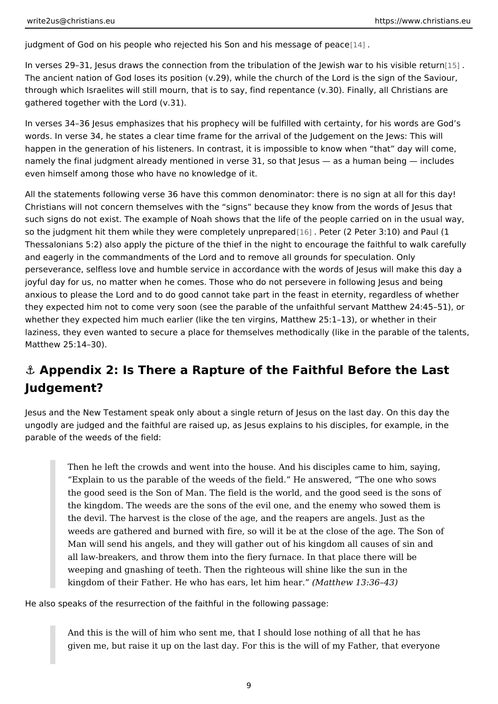<span id="page-8-0"></span>judgment of God on his people who rejecte[d h](#page-15-0)is Son and [1 his message of peace

In verses 29 31, Jesus draws the connection from the tribulation of the  $\sharp\in\mathbb{N}$  wish w The ancient nation of God loses its position (v.29), while the church of the Lord through which Israelites will still mourn, that is to say, find repentance (v.30). I gathered together with the Lord (v.31).

In verses 34 36 Jesus emphasizes that his prophecy will be fulfilled with certain words. In verse 34, he states a clear time frame for the arrival of the Judgement happen in the generation of his listeners. In contrast, it is impossible to know w namely the final judgment already mentioned in verse 31, so that Jesus as a human being included in  $\alpha$ even himself among those who have no knowledge of it.

All the statements following verse 36 have this common denominator: there is no Christians will not concern themselves with the signs because they know from the words of  $\sim$ such signs do not exist. The example of Noah shows that the life of the people c so the judgment hit them while they were complestel **Reute** prespected **c** 3:10) and Paul Thessalonians  $5:2$ ) also apply the picture of the thief in the night to encourage to and eagerly in the commandments of the Lord and to remove all grounds for spec perseverance, selfless love and humble service in accordance with the words of joyful day for us, no matter when he comes. Those who do not persevere in follo anxious to please the Lord and to do good cannot take part in the feast in eterni they expected him not to come very soon (see the parable of the unfaithful serva whether they expected him much earlier (like the ten virgins, Matthew 25:1 13), laziness, they even wanted to secure a place for themselves methodically (like i Matthew 25:14 30).

# &" Appendix 2: Is There a Rapture of the Faithful Before Judgement?

Jesus and the New Testament speak only about a single return of Jesus on the last day. ungodly are judged and the faithful are raised up, as Jesus explains to his disci parable of the weeds of the field:

Then he left the crowds and went into the house. And his disciples came Explain to us the parable of the weeds of the field. He answered, The the good seed is the Son of Man. The field is the world, and the good s the kingdom. The weeds are the sons of the evil one, and the enemy wh the devil. The harvest is the close of the age, and the reapers are ange weeds are gathered and burned with fire, so will it be at the close of th Man will send his angels, and they will gather out of his kingdom all ca all law-breakers, and throw them into the fiery furnace. In that place th weeping and gnashing of teeth. Then the righteous will shine like the su kingdom of their Father. He who has ears(, Mlætt him in 18a36 43)

He also speaks of the resurrection of the faithful in the following passage:

And this is the will of him who sent me, that I should lose nothing of all given me, but raise it up on the last day. For this is the will of my Fath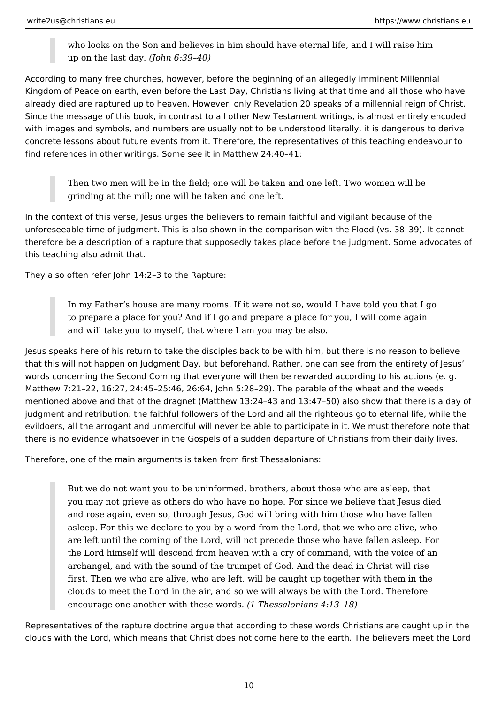who looks on the Son and believes in him should have eternal life, and I will raise him up on the last day. *(John 6:39–40)*

According to many free churches, however, before the beginning of an allegedly imminent Millennial Kingdom of Peace on earth, even before the Last Day, Christians living at that time and all those who have already died are raptured up to heaven. However, only Revelation 20 speaks of a millennial reign of Christ. Since the message of this book, in contrast to all other New Testament writings, is almost entirely encoded with images and symbols, and numbers are usually not to be understood literally, it is dangerous to derive concrete lessons about future events from it. Therefore, the representatives of this teaching endeavour to find references in other writings. Some see it in Matthew 24:40–41:

Then two men will be in the field; one will be taken and one left. Two women will be grinding at the mill; one will be taken and one left.

In the context of this verse, Jesus urges the believers to remain faithful and vigilant because of the unforeseeable time of judgment. This is also shown in the comparison with the Flood (vs. 38–39). It cannot therefore be a description of a rapture that supposedly takes place before the judgment. Some advocates of this teaching also admit that.

They also often refer John 14:2–3 to the Rapture:

In my Father's house are many rooms. If it were not so, would I have told you that I go to prepare a place for you? And if I go and prepare a place for you, I will come again and will take you to myself, that where I am you may be also.

Jesus speaks here of his return to take the disciples back to be with him, but there is no reason to believe that this will not happen on Judgment Day, but beforehand. Rather, one can see from the entirety of Jesus' words concerning the Second Coming that everyone will then be rewarded according to his actions (e. g. Matthew 7:21–22, 16:27, 24:45–25:46, 26:64, John 5:28–29). The parable of the wheat and the weeds mentioned above and that of the dragnet (Matthew 13:24–43 and 13:47–50) also show that there is a day of judgment and retribution: the faithful followers of the Lord and all the righteous go to eternal life, while the evildoers, all the arrogant and unmerciful will never be able to participate in it. We must therefore note that there is no evidence whatsoever in the Gospels of a sudden departure of Christians from their daily lives.

Therefore, one of the main arguments is taken from first Thessalonians:

But we do not want you to be uninformed, brothers, about those who are asleep, that you may not grieve as others do who have no hope. For since we believe that Jesus died and rose again, even so, through Jesus, God will bring with him those who have fallen asleep. For this we declare to you by a word from the Lord, that we who are alive, who are left until the coming of the Lord, will not precede those who have fallen asleep. For the Lord himself will descend from heaven with a cry of command, with the voice of an archangel, and with the sound of the trumpet of God. And the dead in Christ will rise first. Then we who are alive, who are left, will be caught up together with them in the clouds to meet the Lord in the air, and so we will always be with the Lord. Therefore encourage one another with these words. *(1 Thessalonians 4:13–18)*

Representatives of the rapture doctrine argue that according to these words Christians are caught up in the clouds with the Lord, which means that Christ does not come here to the earth. The believers meet the Lord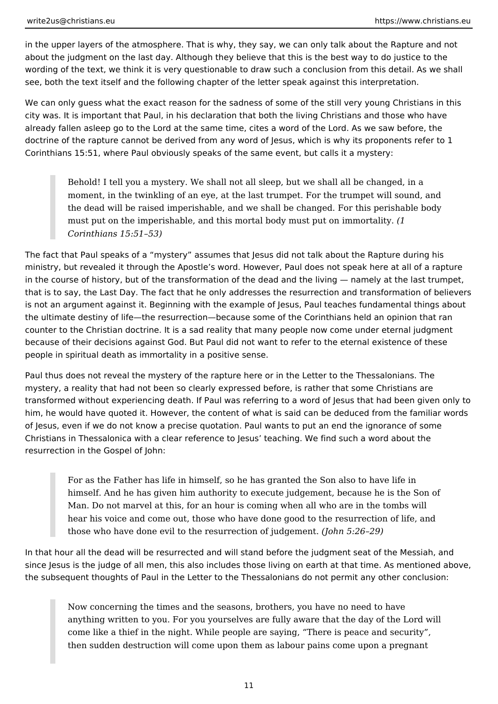in the upper layers of the atmosphere. That is why, they say, we can only talk about the Rapture and not about the judgment on the last day. Although they believe that this is the best way to do justice to the wording of the text, we think it is very questionable to draw such a conclusion from this detail. As we shall see, both the text itself and the following chapter of the letter speak against this interpretation.

We can only guess what the exact reason for the sadness of some of the still very young Christians in this city was. It is important that Paul, in his declaration that both the living Christians and those who have already fallen asleep go to the Lord at the same time, cites a word of the Lord. As we saw before, the doctrine of the rapture cannot be derived from any word of Jesus, which is why its proponents refer to 1 Corinthians 15:51, where Paul obviously speaks of the same event, but calls it a mystery:

Behold! I tell you a mystery. We shall not all sleep, but we shall all be changed, in a moment, in the twinkling of an eye, at the last trumpet. For the trumpet will sound, and the dead will be raised imperishable, and we shall be changed. For this perishable body must put on the imperishable, and this mortal body must put on immortality. *(1 Corinthians 15:51–53)*

The fact that Paul speaks of a "mystery" assumes that Jesus did not talk about the Rapture during his ministry, but revealed it through the Apostle's word. However, Paul does not speak here at all of a rapture in the course of history, but of the transformation of the dead and the living — namely at the last trumpet, that is to say, the Last Day. The fact that he only addresses the resurrection and transformation of believers is not an argument against it. Beginning with the example of Jesus, Paul teaches fundamental things about the ultimate destiny of life—the resurrection—because some of the Corinthians held an opinion that ran counter to the Christian doctrine. It is a sad reality that many people now come under eternal judgment because of their decisions against God. But Paul did not want to refer to the eternal existence of these people in spiritual death as immortality in a positive sense.

Paul thus does not reveal the mystery of the rapture here or in the Letter to the Thessalonians. The mystery, a reality that had not been so clearly expressed before, is rather that some Christians are transformed without experiencing death. If Paul was referring to a word of Jesus that had been given only to him, he would have quoted it. However, the content of what is said can be deduced from the familiar words of Jesus, even if we do not know a precise quotation. Paul wants to put an end the ignorance of some Christians in Thessalonica with a clear reference to Jesus' teaching. We find such a word about the resurrection in the Gospel of John:

For as the Father has life in himself, so he has granted the Son also to have life in himself. And he has given him authority to execute judgement, because he is the Son of Man. Do not marvel at this, for an hour is coming when all who are in the tombs will hear his voice and come out, those who have done good to the resurrection of life, and those who have done evil to the resurrection of judgement. *(John 5:26–29)*

In that hour all the dead will be resurrected and will stand before the judgment seat of the Messiah, and since Jesus is the judge of all men, this also includes those living on earth at that time. As mentioned above, the subsequent thoughts of Paul in the Letter to the Thessalonians do not permit any other conclusion:

Now concerning the times and the seasons, brothers, you have no need to have anything written to you. For you yourselves are fully aware that the day of the Lord will come like a thief in the night. While people are saying, "There is peace and security", then sudden destruction will come upon them as labour pains come upon a pregnant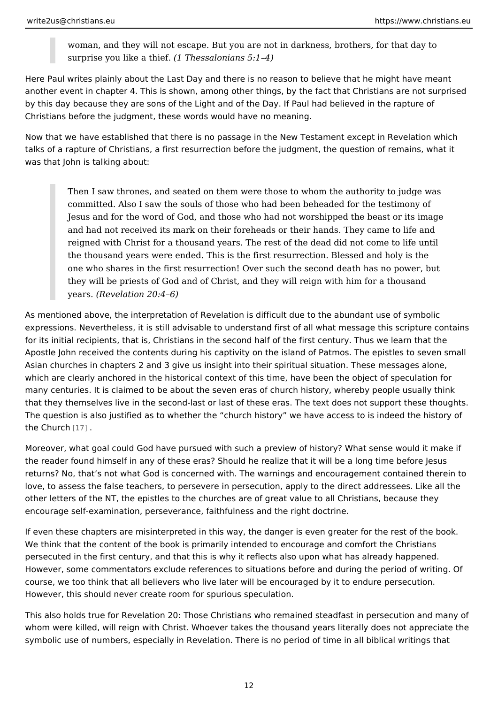woman, and they will not escape. But you are not in darkness, brothers, surprise you like  $\frac{4}{1}$  These salonians 5:1 4)

Here Paul writes plainly about the Last Day and there is no reason to believe th another event in chapter 4. This is shown, among other things, by the fact that ( by this day because they are sons of the Light and of the Day. If Paul had believ Christians before the judgment, these words would have no meaning.

Now that we have established that there is no passage in the New Testament exc talks of a rapture of Christians, a first resurrection before the judgment, the que was that John is talking about:

Then I saw thrones, and seated on them were those to whom the authori committed. Also I saw the souls of those who had been beheaded for the Jesus and for the word of God, and those who had not worshipped the b and had not received its mark on their foreheads or their hands. They c reigned with Christ for a thousand years. The rest of the dead did not c the thousand years were ended. This is the first resurrection. Blessed and the one who shares in the first resurrection! Over such the second death ha they will be priests of God and of Christ, and they will reign with him for years. Revelation 20:4 6)

As mentioned above, the interpretation of Revelation is difficult due to the abun expressions. Nevertheless, it is still advisable to understand first of all what me for its initial recipients, that is, Christians in the second half of the first centur Apostle John received the contents during his captivity on the island of Patmos. Asian churches in chapters 2 and 3 give us insight into their spiritual situation. which are clearly anchored in the historical context of this time, have been the or many centuries. It is claimed to be about the seven eras of church history, wher that they themselves live in the second-last or last of these eras. The text does The question is also justified as to whether the church history we have access the Chu[rch](#page-15-0).

Moreover, what goal could God have pursued with such a preview of history? Wh the reader found himself in any of these eras? Should he realize that it will be a returns? No, that s not what God is concerned with. The warnings and encourage love, to assess the false teachers, to persevere in persecution, apply to the dire other letters of the NT, the epistles to the churches are of great value to all Chi encourage self-examination, perseverance, faithfulness and the right doctrine.

If even these chapters are misinterpreted in this way, the danger is even greate We think that the content of the book is primarily intended to encourage and con persecuted in the first century, and that this is why it reflects also upon what ha However, some commentators exclude references to situations before and during course, we too think that all believers who live later will be encouraged by it to However, this should never create room for spurious speculation.

This also holds true for Revelation 20: Those Christians who remained steadfast whom were killed, will reign with Christ. Whoever takes the thousand years literal symbolic use of numbers, especially in Revelation. There is no period of time in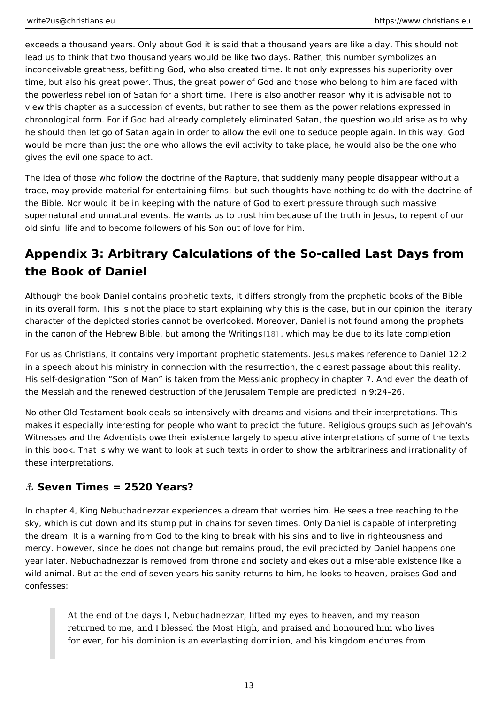<span id="page-12-0"></span>exceeds a thousand years. Only about God it is said that a thousand years are li lead us to think that two thousand years would be like two days. Rather, this num inconceivable greatness, befitting God, who also created time. It not only expres time, but also his great power. Thus, the great power of God and those who belo the powerless rebellion of Satan for a short time. There is also another reason v view this chapter as a succession of events, but rather to see them as the power chronological form. For if God had already completely eliminated Satan, the que he should then let go of Satan again in order to allow the evil one to seduce ped would be more than just the one who allows the evil activity to take place, he wo gives the evil one space to act.

The idea of those who follow the doctrine of the Rapture, that suddenly many pe trace, may provide material for entertaining films; but such thoughts have nothir the Bible. Nor would it be in keeping with the nature of God to exert pressure th supernatural and unnatural events. He wants us to trust him because of the truth old sinful life and to become followers of his Son out of love for him.

### Appendix 3: Arbitrary Calculations of the So-called Last the Book of Daniel

Although the book Daniel contains prophetic texts, it differs strongly from the pi in its overall form. This is not the place to start explaining why this is the case, character of the depicted stories cannot be overlooked. Moreover, Daniel is not in the canon of the Hebrew Bible, but a[mong](#page-15-0) whhe comminary gbe due to its late completion.

For us as Christians, it contains very important prophetic statements. Jesus mak in a speech about his ministry in connection with the resurrection, the clearest passes His self-designation Son of Man is taken from the Messianic prophecy in chapter the Messiah and the renewed destruction of the Jerusalem Temple are predicted

No other Old Testament book deals so intensively with dreams and visions and the makes it especially interesting for people who want to predict the future. Religio Witnesses and the Adventists owe their existence largely to speculative interpre in this book. That is why we want to look at such texts in order to show the arbi these interpretations.

#### &" Seven Times = 2520 Years?

In chapter 4, King Nebuchadnezzar experiences a dream that worries him. He see sky, which is cut down and its stump put in chains for seven times. Only Daniel the dream. It is a warning from God to the king to break with his sins and to live mercy. However, since he does not change but remains proud, the evil predicted year later. Nebuchadnezzar is removed from throne and society and ekes out a m wild animal. But at the end of seven years his sanity returns to him, he looks to confesses:

At the end of the days I, Nebuchadnezzar, lifted my eyes to heaven, and returned to me, and I blessed the Most High, and praised and honoured for ever, for his dominion is an everlasting dominion, and his kingdom  $\epsilon$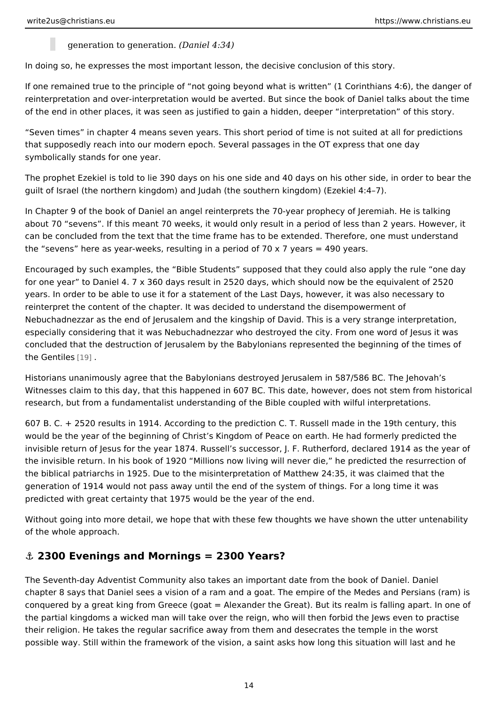generation to gene (Daiorel 4:34)

<span id="page-13-0"></span>In doing so, he expresses the most important lesson, the decisive conclusion of

If one remained true to the principle of not going beyond what is written (1 Co) reinterpretation and over-interpretation would be averted. But since the book of of the end in other places, it was seen as justified to gain a hidden, deeper int

Seven times in chapter 4 means seven years. This short period of time is not s that supposedly reach into our modern epoch. Several passages in the OT exprest symbolically stands for one year.

The prophet Ezekiel is told to lie 390 days on his one side and 40 days on his other guilt of Israel (the northern kingdom) and Judah (the southern kingdom) (Ezekiel

In Chapter 9 of the book of Daniel an angel reinterprets the 70-year prophecy of about 70 sevens . If this meant 70 weeks, it would only result in a period of les can be concluded from the text that the time frame has to be extended. Therefor the sevens here as year-weeks, resulting in a period of 70 x 7 years = 490 yea

Encouraged by such examples, the Bible Students supposed that they could als for one year to Daniel 4. 7 x 360 days result in 2520 days, which should now be years. In order to be able to use it for a statement of the Last Days, however, it reinterpret the content of the chapter. It was decided to understand the disempo Nebuchadnezzar as the end of Jerusalem and the kingship of David. This is a ve especially considering that it was Nebuchadnezzar who destroyed the city. From concluded that the destruction of Jerusalem by the Babylonians represented the the Gentiness.

Historians unanimously agree that the Babylonians destroyed Jerusalem in 587/5 Witnesses claim to this day, that this happened in 607 BC. This date, however, do research, but from a fundamentalist understanding of the Bible coupled with wilf

607 B. C. + 2520 results in 1914. According to the prediction C. T. Russell made would be the year of the beginning of Christ s Kingdom of Peace on earth. He ha invisible return of Jesus for the year 1874. Russell s successor, J. F. Rutherford the invisible return. In his book of 1920 Millions now living will never die, he predicted the resurrection of the biblical patriarchs in 1925. Due to the misinterpretation of Matthew 24:35, it generation of 1914 would not pass away until the end of the system of things. For predicted with great certainty that 1975 would be the year of the end.

Without going into more detail, we hope that with these few thoughts we have sh of the whole approach.

#### &" 2300 Evenings and Mornings = 2300 Years?

The Seventh-day Adventist Community also takes an important date from the boo chapter 8 says that Daniel sees a vision of a ram and a goat. The empire of the conquered by a great king from Greece (goat = Alexander the Great). But its rea the partial kingdoms a wicked man will take over the reign, who will then forbid their religion. He takes the regular sacrifice away from them and desecrates the possible way. Still within the framework of the vision, a saint asks how long this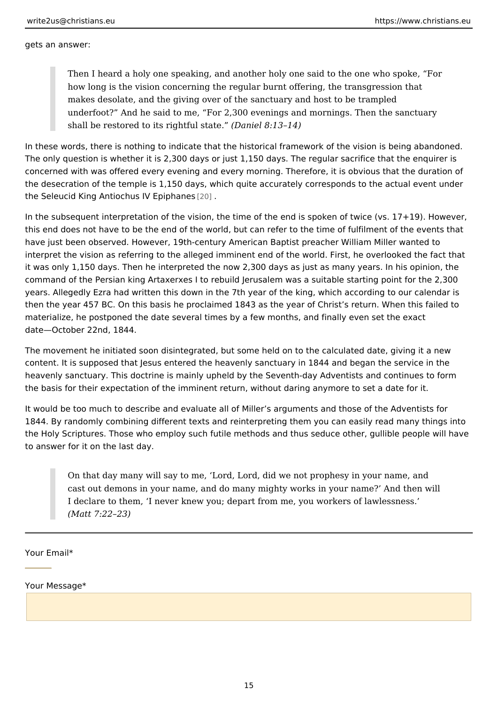gets an answer:

Then I heard a holy one speaking, and another holy one said to the one how long is the vision concerning the regular burnt offering, the transgi makes desolate, and the giving over of the sanctuary and host to be tra underfoot? And he said to me, For 2,300 evenings and mornings. Then shall be restored to its righ(tDualn  $\delta$ de at  $\delta$ : 13 14)

In these words, there is nothing to indicate that the historical framework of the The only question is whether it is 2,300 days or just 1,150 days. The regular sad concerned with was offered every evening and every morning. Therefore, it is ob the desecration of the temple is 1,150 days, which quite accurately corresponds the Seleucid King Antiochus I @ OEpiphanes

In the subsequent interpretation of the vision, the time of the end is spoken of t this end does not have to be the end of the world, but can refer to the time of fu have just been observed. However, 19th-century American Baptist preacher Willi interpret the vision as referring to the alleged imminent end of the world. First, it was only 1,150 days. Then he interpreted the now 2,300 days as just as many command of the Persian king Artaxerxes I to rebuild Jerusalem was a suitable st years. Allegedly Ezra had written this down in the 7th year of the king, which ac then the year 457 BC. On this basis he proclaimed 1843 as the year of Christ s return. materialize, he postponed the date several times by a few months, and finally ev date October 22nd, 1844.

The movement he initiated soon disintegrated, but some held on to the calculate content. It is supposed that Jesus entered the heavenly sanctuary in 1844 and b heavenly sanctuary. This doctrine is mainly upheld by the Seventh-day Adventist the basis for their expectation of the imminent return, without daring anymore to

It would be too much to describe and evaluate all of Miller s arguments and thos 1844. By randomly combining different texts and reinterpreting them you can eas the Holy Scriptures. Those who employ such futile methods and thus seduce other to answer for it on the last day.

On that day many will say to me, Lord, Lord, did we not prophesy in yo cast out demons in your name, and do many mighty works in your name? I declare to them, I never knew you; depart from me, you workers of la (Matt 7:22 23)

Your Email\*

Your Message\*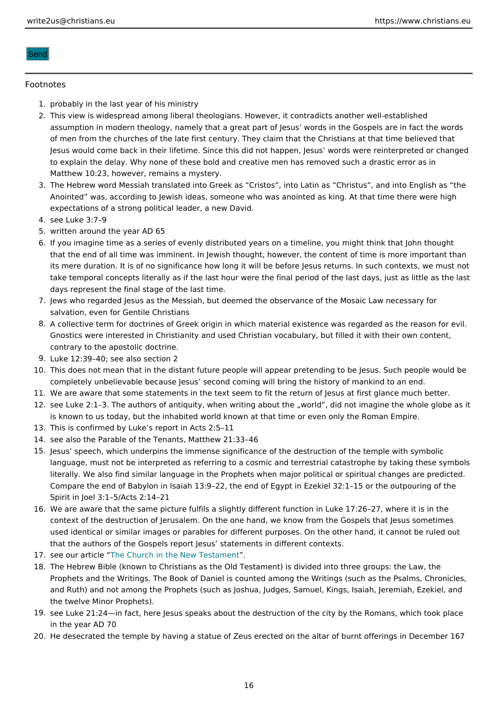#### <span id="page-15-0"></span>Send

#### Footnotes

- 1.probably in the last year of his ministry
- 2. This view is widespread among liberal theologians. However, it contradicts another assumption in modern theology, namely that a great part of Jesus words in the Go of men from the churches of the late first century. They claim that the Christians a Jesus would come back in their lifetime. Since this did not happen, Jesus words w to explain the delay. Why none of these bold and creative men has removed such a Matthew 10:23, however, remains a mystery.
- 3. The Hebrew word Messiah translated into Greek as Cristos, into Latin as Christu Anointed was, according to Jewish ideas, someone who was anointed as king. At th expectations of a strong political leader, a new David.
- 4.see Luke 3:7 9
- 5.written around the year AD 65
- 6. If you imagine time as a series of evenly distributed years on a timeline, you might that the end of all time was imminent. In Jewish thought, however, the content of t its mere duration. It is of no significance how long it will be before Jesus returns. take temporal concepts literally as if the last hour were the final period of the last days represent the final stage of the last time.
- 7. Jews who regarded Jesus as the Messiah, but deemed the observance of the Mosaid salvation, even for Gentile Christians
- 8.A collective term for doctrines of Greek origin in which material existence was reg Gnostics were interested in Christianity and used Christian vocabulary, but filled i contrary to the apostolic doctrine.
- 9.Luke 12:39 40; see also section 2
- 10.This does not mean that in the distant future people will appear pretending to be J completely unbelievable because Jesus second coming will bring the history of ma
- 11.We are aware that some statements in the text seem to fit the return of Jesus at fi
- 12.see Luke 2:1 3. The authors of antiquity, when writing about the world, did not im is known to us today, but the inhabited world known at that time or even only the R
- 13.This is confirmed by Luke s report in Acts 2:5 11
- 14.see also the Parable of the Tenants, Matthew 21:33 46
- 15.Jesus speech, which underpins the immense significance of the destruction of the language, must not be interpreted as referring to a cosmic and terrestrial catastrop literally. We also find similar language in the Prophets when major political or spir Compare the end of Babylon in Isaiah 13:9 22, the end of Egypt in Ezekiel 32:1 15 Spirit in Joel 3:1 5/Acts 2:14 21
- 16. We are aware that the same picture fulfils a slightly different function in Luke 17:2 context of the destruction of Jerusalem. On the one hand, we know from the Gospe used identical or similar images or parables for different purposes. On the other hand, it can that the authors of the Gospels report Jesus statements in different contexts.
- 17.see our artiche Church in the New Testament
- 18.The Hebrew Bible (known to Christians as the Old Testament) is divided into three Prophets and the Writings. The Book of Daniel is counted among the Writings (such and Ruth) and not among the Prophets (such as Joshua, Judges, Samuel, Kings, Isa the twelve Minor Prophets).
- 19.see Luke 21:24 in fact, here Jesus speaks about the destruction of the city by the in the year AD 70
- 20.He desecrated the temple by having a statue of Zeus erected on the altar of burnt